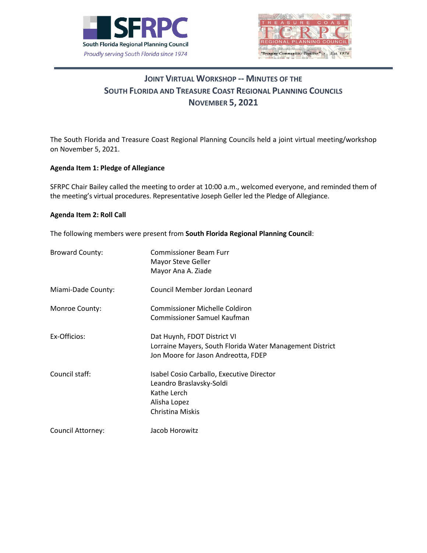



# **JOINT VIRTUAL WORKSHOP -- MINUTES OF THE SOUTH FLORIDA AND TREASURE COAST REGIONAL PLANNING COUNCILS NOVEMBER 5, 2021**

The South Florida and Treasure Coast Regional Planning Councils held a joint virtual meeting/workshop on November 5, 2021.

#### **Agenda Item 1: Pledge of Allegiance**

SFRPC Chair Bailey called the meeting to order at 10:00 a.m., welcomed everyone, and reminded them of the meeting's virtual procedures. Representative Joseph Geller led the Pledge of Allegiance.

#### **Agenda Item 2: Roll Call**

The following members were present from **South Florida Regional Planning Council**:

| <b>Broward County:</b> | <b>Commissioner Beam Furr</b><br>Mayor Steve Geller<br>Mayor Ana A. Ziade                                                      |
|------------------------|--------------------------------------------------------------------------------------------------------------------------------|
| Miami-Dade County:     | Council Member Jordan Leonard                                                                                                  |
| Monroe County:         | <b>Commissioner Michelle Coldiron</b><br><b>Commissioner Samuel Kaufman</b>                                                    |
| Ex-Officios:           | Dat Huynh, FDOT District VI<br>Lorraine Mayers, South Florida Water Management District<br>Jon Moore for Jason Andreotta, FDEP |
| Council staff:         | Isabel Cosio Carballo, Executive Director<br>Leandro Braslavsky-Soldi<br>Kathe Lerch<br>Alisha Lopez<br>Christina Miskis       |
| Council Attorney:      | Jacob Horowitz                                                                                                                 |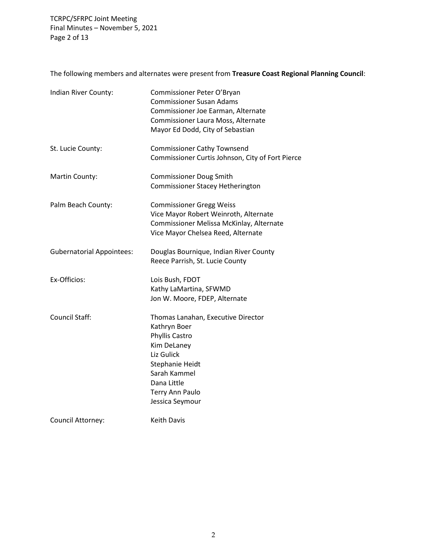TCRPC/SFRPC Joint Meeting Final Minutes – November 5, 2021 Page 2 of 13

The following members and alternates were present from **Treasure Coast Regional Planning Council**:

| Indian River County:             | Commissioner Peter O'Bryan<br><b>Commissioner Susan Adams</b><br>Commissioner Joe Earman, Alternate<br>Commissioner Laura Moss, Alternate<br>Mayor Ed Dodd, City of Sebastian             |
|----------------------------------|-------------------------------------------------------------------------------------------------------------------------------------------------------------------------------------------|
| St. Lucie County:                | <b>Commissioner Cathy Townsend</b><br>Commissioner Curtis Johnson, City of Fort Pierce                                                                                                    |
| Martin County:                   | <b>Commissioner Doug Smith</b><br><b>Commissioner Stacey Hetherington</b>                                                                                                                 |
| Palm Beach County:               | <b>Commissioner Gregg Weiss</b><br>Vice Mayor Robert Weinroth, Alternate<br>Commissioner Melissa McKinlay, Alternate<br>Vice Mayor Chelsea Reed, Alternate                                |
| <b>Gubernatorial Appointees:</b> | Douglas Bournique, Indian River County<br>Reece Parrish, St. Lucie County                                                                                                                 |
| Ex-Officios:                     | Lois Bush, FDOT<br>Kathy LaMartina, SFWMD<br>Jon W. Moore, FDEP, Alternate                                                                                                                |
| Council Staff:                   | Thomas Lanahan, Executive Director<br>Kathryn Boer<br>Phyllis Castro<br>Kim DeLaney<br>Liz Gulick<br>Stephanie Heidt<br>Sarah Kammel<br>Dana Little<br>Terry Ann Paulo<br>Jessica Seymour |
| Council Attorney:                | <b>Keith Davis</b>                                                                                                                                                                        |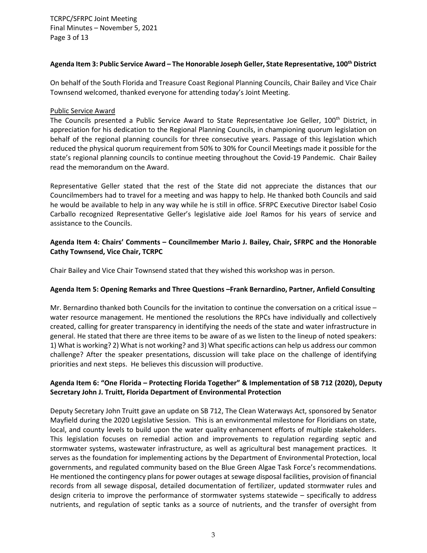TCRPC/SFRPC Joint Meeting Final Minutes – November 5, 2021 Page 3 of 13

#### **Agenda Item 3: Public Service Award – The Honorable Joseph Geller, State Representative, 100th District**

On behalf of the South Florida and Treasure Coast Regional Planning Councils, Chair Bailey and Vice Chair Townsend welcomed, thanked everyone for attending today's Joint Meeting.

#### Public Service Award

The Councils presented a Public Service Award to State Representative Joe Geller, 100<sup>th</sup> District, in appreciation for his dedication to the Regional Planning Councils, in championing quorum legislation on behalf of the regional planning councils for three consecutive years. Passage of this legislation which reduced the physical quorum requirement from 50% to 30% for Council Meetings made it possible for the state's regional planning councils to continue meeting throughout the Covid-19 Pandemic. Chair Bailey read the memorandum on the Award.

Representative Geller stated that the rest of the State did not appreciate the distances that our Councilmembers had to travel for a meeting and was happy to help. He thanked both Councils and said he would be available to help in any way while he is still in office. SFRPC Executive Director Isabel Cosio Carballo recognized Representative Geller's legislative aide Joel Ramos for his years of service and assistance to the Councils.

# **Agenda Item 4: Chairs' Comments – Councilmember Mario J. Bailey, Chair, SFRPC and the Honorable Cathy Townsend, Vice Chair, TCRPC**

Chair Bailey and Vice Chair Townsend stated that they wished this workshop was in person.

## **Agenda Item 5: Opening Remarks and Three Questions –Frank Bernardino, Partner, Anfield Consulting**

Mr. Bernardino thanked both Councils for the invitation to continue the conversation on a critical issue – water resource management. He mentioned the resolutions the RPCs have individually and collectively created, calling for greater transparency in identifying the needs of the state and water infrastructure in general. He stated that there are three items to be aware of as we listen to the lineup of noted speakers: 1) What is working? 2) What is not working? and 3) What specific actions can help us address our common challenge? After the speaker presentations, discussion will take place on the challenge of identifying priorities and next steps. He believes this discussion will productive.

# **Agenda Item 6: "One Florida – Protecting Florida Together" & Implementation of SB 712 (2020), Deputy Secretary John J. Truitt, Florida Department of Environmental Protection**

Deputy Secretary John Truitt gave an update on SB 712, The Clean Waterways Act, sponsored by Senator Mayfield during the 2020 Legislative Session. This is an environmental milestone for Floridians on state, local, and county levels to build upon the water quality enhancement efforts of multiple stakeholders. This legislation focuses on remedial action and improvements to regulation regarding septic and stormwater systems, wastewater infrastructure, as well as agricultural best management practices. It serves as the foundation for implementing actions by the Department of Environmental Protection, local governments, and regulated community based on the Blue Green Algae Task Force's recommendations. He mentioned the contingency plans for power outages at sewage disposal facilities, provision of financial records from all sewage disposal, detailed documentation of fertilizer, updated stormwater rules and design criteria to improve the performance of stormwater systems statewide – specifically to address nutrients, and regulation of septic tanks as a source of nutrients, and the transfer of oversight from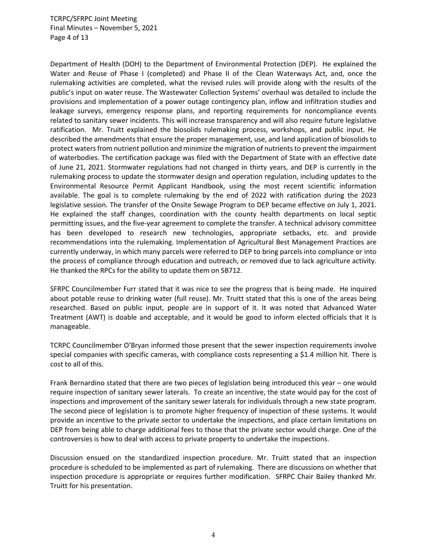TCRPC/SFRPC Joint Meeting Final Minutes – November 5, 2021 Page 4 of 13

Department of Health (DOH) to the Department of Environmental Protection (DEP). He explained the Water and Reuse of Phase I (completed) and Phase II of the Clean Waterways Act, and, once the rulemaking activities are completed, what the revised rules will provide along with the results of the public's input on water reuse. The Wastewater Collection Systems' overhaul was detailed to include the provisions and implementation of a power outage contingency plan, inflow and infiltration studies and leakage surveys, emergency response plans, and reporting requirements for noncompliance events related to sanitary sewer incidents. This will increase transparency and will also require future legislative ratification. Mr. Truitt explained the biosolids rulemaking process, workshops, and public input. He described the amendments that ensure the proper management, use, and land application of biosolids to protect waters from nutrient pollution and minimize the migration of nutrients to prevent the impairment of waterbodies. The certification package was filed with the Department of State with an effective date of June 21, 2021. Stormwater regulations had not changed in thirty years, and DEP is currently in the rulemaking process to update the stormwater design and operation regulation, including updates to the Environmental Resource Permit Applicant Handbook, using the most recent scientific information available. The goal is to complete rulemaking by the end of 2022 with ratification during the 2023 legislative session. The transfer of the Onsite Sewage Program to DEP became effective on July 1, 2021. He explained the staff changes, coordination with the county health departments on local septic permitting issues, and the five-year agreement to complete the transfer. A technical advisory committee has been developed to research new technologies, appropriate setbacks, etc. and provide recommendations into the rulemaking. Implementation of Agricultural Best Management Practices are currently underway, in which many parcels were referred to DEP to bring parcels into compliance or into the process of compliance through education and outreach, or removed due to lack agriculture activity. He thanked the RPCs for the ability to update them on SB712.

SFRPC Councilmember Furr stated that it was nice to see the progress that is being made. He inquired about potable reuse to drinking water (full reuse). Mr. Truitt stated that this is one of the areas being researched. Based on public input, people are in support of it. It was noted that Advanced Water Treatment (AWT) is doable and acceptable, and it would be good to inform elected officials that it is manageable.

TCRPC Councilmember O'Bryan informed those present that the sewer inspection requirements involve special companies with specific cameras, with compliance costs representing a \$1.4 million hit. There is cost to all of this.

Frank Bernardino stated that there are two pieces of legislation being introduced this year – one would require inspection of sanitary sewer laterals. To create an incentive, the state would pay for the cost of inspections and improvement of the sanitary sewer laterals for individuals through a new state program. The second piece of legislation is to promote higher frequency of inspection of these systems. It would provide an incentive to the private sector to undertake the inspections, and place certain limitations on DEP from being able to charge additional fees to those that the private sector would charge. One of the controversies is how to deal with access to private property to undertake the inspections.

Discussion ensued on the standardized inspection procedure. Mr. Truitt stated that an inspection procedure is scheduled to be implemented as part of rulemaking. There are discussions on whether that inspection procedure is appropriate or requires further modification. SFRPC Chair Bailey thanked Mr. Truitt for his presentation.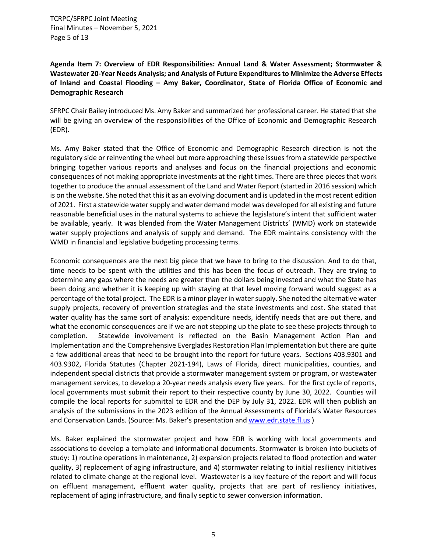TCRPC/SFRPC Joint Meeting Final Minutes – November 5, 2021 Page 5 of 13

**Agenda Item 7: Overview of EDR Responsibilities: Annual Land & Water Assessment; Stormwater & Wastewater 20-Year Needs Analysis; and Analysis of Future Expenditures to Minimize the Adverse Effects of Inland and Coastal Flooding – Amy Baker, Coordinator, State of Florida Office of Economic and Demographic Research**

SFRPC Chair Bailey introduced Ms. Amy Baker and summarized her professional career. He stated that she will be giving an overview of the responsibilities of the Office of Economic and Demographic Research (EDR).

Ms. Amy Baker stated that the Office of Economic and Demographic Research direction is not the regulatory side or reinventing the wheel but more approaching these issues from a statewide perspective bringing together various reports and analyses and focus on the financial projections and economic consequences of not making appropriate investments at the right times. There are three pieces that work together to produce the annual assessment of the Land and Water Report (started in 2016 session) which is on the website. She noted that this it as an evolving document and is updated in the most recent edition of 2021. First a statewide water supply and water demand model was developed for all existing and future reasonable beneficial uses in the natural systems to achieve the legislature's intent that sufficient water be available, yearly. It was blended from the Water Management Districts' (WMD) work on statewide water supply projections and analysis of supply and demand. The EDR maintains consistency with the WMD in financial and legislative budgeting processing terms.

Economic consequences are the next big piece that we have to bring to the discussion. And to do that, time needs to be spent with the utilities and this has been the focus of outreach. They are trying to determine any gaps where the needs are greater than the dollars being invested and what the State has been doing and whether it is keeping up with staying at that level moving forward would suggest as a percentage of the total project. The EDR is a minor player in water supply. She noted the alternative water supply projects, recovery of prevention strategies and the state investments and cost. She stated that water quality has the same sort of analysis: expenditure needs, identify needs that are out there, and what the economic consequences are if we are not stepping up the plate to see these projects through to completion. Statewide involvement is reflected on the Basin Management Action Plan and Implementation and the Comprehensive Everglades Restoration Plan Implementation but there are quite a few additional areas that need to be brought into the report for future years. Sections 403.9301 and 403.9302, Florida Statutes (Chapter 2021-194), Laws of Florida, direct municipalities, counties, and independent special districts that provide a stormwater management system or program, or wastewater management services, to develop a 20-year needs analysis every five years. For the first cycle of reports, local governments must submit their report to their respective county by June 30, 2022. Counties will compile the local reports for submittal to EDR and the DEP by July 31, 2022. EDR will then publish an analysis of the submissions in the 2023 edition of the Annual Assessments of Florida's Water Resources and Conservation Lands. (Source: Ms. Baker's presentation an[d www.edr.state.fl.us](http://www.edr.state.fl.us/) )

Ms. Baker explained the stormwater project and how EDR is working with local governments and associations to develop a template and informational documents. Stormwater is broken into buckets of study: 1) routine operations in maintenance, 2) expansion projects related to flood protection and water quality, 3) replacement of aging infrastructure, and 4) stormwater relating to initial resiliency initiatives related to climate change at the regional level. Wastewater is a key feature of the report and will focus on effluent management, effluent water quality, projects that are part of resiliency initiatives, replacement of aging infrastructure, and finally septic to sewer conversion information.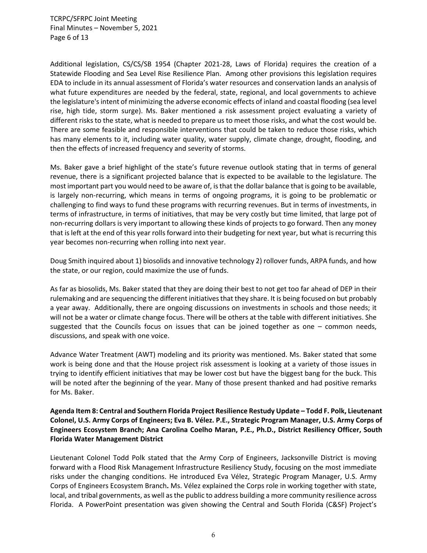Additional legislation, CS/CS/SB 1954 (Chapter 2021-28, Laws of Florida) requires the creation of a Statewide Flooding and Sea Level Rise Resilience Plan. Among other provisions this legislation requires EDA to include in its annual assessment of Florida's water resources and conservation lands an analysis of what future expenditures are needed by the federal, state, regional, and local governments to achieve the legislature's intent of minimizing the adverse economic effects of inland and coastal flooding (sea level rise, high tide, storm surge). Ms. Baker mentioned a risk assessment project evaluating a variety of different risks to the state, what is needed to prepare us to meet those risks, and what the cost would be. There are some feasible and responsible interventions that could be taken to reduce those risks, which has many elements to it, including water quality, water supply, climate change, drought, flooding, and then the effects of increased frequency and severity of storms.

Ms. Baker gave a brief highlight of the state's future revenue outlook stating that in terms of general revenue, there is a significant projected balance that is expected to be available to the legislature. The most important part you would need to be aware of, is that the dollar balance that is going to be available, is largely non-recurring, which means in terms of ongoing programs, it is going to be problematic or challenging to find ways to fund these programs with recurring revenues. But in terms of investments, in terms of infrastructure, in terms of initiatives, that may be very costly but time limited, that large pot of non-recurring dollars is very important to allowing these kinds of projects to go forward. Then any money that is left at the end of this year rolls forward into their budgeting for next year, but what is recurring this year becomes non-recurring when rolling into next year.

Doug Smith inquired about 1) biosolids and innovative technology 2) rollover funds, ARPA funds, and how the state, or our region, could maximize the use of funds.

As far as biosolids, Ms. Baker stated that they are doing their best to not get too far ahead of DEP in their rulemaking and are sequencing the different initiatives that they share. It is being focused on but probably a year away. Additionally, there are ongoing discussions on investments in schools and those needs; it will not be a water or climate change focus. There will be others at the table with different initiatives. She suggested that the Councils focus on issues that can be joined together as one – common needs, discussions, and speak with one voice.

Advance Water Treatment (AWT) modeling and its priority was mentioned. Ms. Baker stated that some work is being done and that the House project risk assessment is looking at a variety of those issues in trying to identify efficient initiatives that may be lower cost but have the biggest bang for the buck. This will be noted after the beginning of the year. Many of those present thanked and had positive remarks for Ms. Baker.

**Agenda Item 8: Central and Southern Florida Project Resilience Restudy Update – Todd F. Polk, Lieutenant Colonel, U.S. Army Corps of Engineers; Eva B. Vélez. P.E., Strategic Program Manager, U.S. Army Corps of Engineers Ecosystem Branch; Ana Carolina Coelho Maran, P.E., Ph.D., District Resiliency Officer, South Florida Water Management District** 

Lieutenant Colonel Todd Polk stated that the Army Corp of Engineers, Jacksonville District is moving forward with a Flood Risk Management Infrastructure Resiliency Study, focusing on the most immediate risks under the changing conditions. He introduced Eva Vélez, Strategic Program Manager, U.S. Army Corps of Engineers Ecosystem Branch**.** Ms. Vélez explained the Corps role in working together with state, local, and tribal governments, as well as the public to address building a more community resilience across Florida. A PowerPoint presentation was given showing the Central and South Florida (C&SF) Project's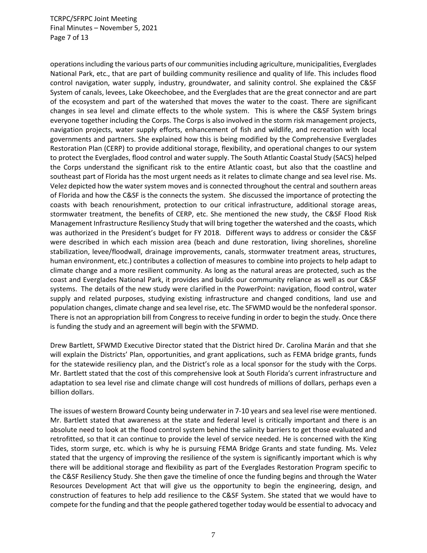TCRPC/SFRPC Joint Meeting Final Minutes – November 5, 2021 Page 7 of 13

operations including the various parts of our communities including agriculture, municipalities, Everglades National Park, etc., that are part of building community resilience and quality of life. This includes flood control navigation, water supply, industry, groundwater, and salinity control. She explained the C&SF System of canals, levees, Lake Okeechobee, and the Everglades that are the great connector and are part of the ecosystem and part of the watershed that moves the water to the coast. There are significant changes in sea level and climate effects to the whole system. This is where the C&SF System brings everyone together including the Corps. The Corps is also involved in the storm risk management projects, navigation projects, water supply efforts, enhancement of fish and wildlife, and recreation with local governments and partners. She explained how this is being modified by the Comprehensive Everglades Restoration Plan (CERP) to provide additional storage, flexibility, and operational changes to our system to protect the Everglades, flood control and water supply. The South Atlantic Coastal Study (SACS) helped the Corps understand the significant risk to the entire Atlantic coast, but also that the coastline and southeast part of Florida has the most urgent needs as it relates to climate change and sea level rise. Ms. Velez depicted how the water system moves and is connected throughout the central and southern areas of Florida and how the C&SF is the connects the system. She discussed the importance of protecting the coasts with beach renourishment, protection to our critical infrastructure, additional storage areas, stormwater treatment, the benefits of CERP, etc. She mentioned the new study, the C&SF Flood Risk Management Infrastructure Resiliency Study that will bring together the watershed and the coasts, which was authorized in the President's budget for FY 2018. Different ways to address or consider the C&SF were described in which each mission area (beach and dune restoration, living shorelines, shoreline stabilization, levee/floodwall, drainage improvements, canals, stormwater treatment areas, structures, human environment, etc.) contributes a collection of measures to combine into projects to help adapt to climate change and a more resilient community. As long as the natural areas are protected, such as the coast and Everglades National Park, it provides and builds our community reliance as well as our C&SF systems. The details of the new study were clarified in the PowerPoint: navigation, flood control, water supply and related purposes, studying existing infrastructure and changed conditions, land use and population changes, climate change and sea level rise, etc. The SFWMD would be the nonfederal sponsor. There is not an appropriation bill from Congress to receive funding in order to begin the study. Once there is funding the study and an agreement will begin with the SFWMD.

Drew Bartlett, SFWMD Executive Director stated that the District hired Dr. Carolina Marán and that she will explain the Districts' Plan, opportunities, and grant applications, such as FEMA bridge grants, funds for the statewide resiliency plan, and the District's role as a local sponsor for the study with the Corps. Mr. Bartlett stated that the cost of this comprehensive look at South Florida's current infrastructure and adaptation to sea level rise and climate change will cost hundreds of millions of dollars, perhaps even a billion dollars.

The issues of western Broward County being underwater in 7-10 years and sea level rise were mentioned. Mr. Bartlett stated that awareness at the state and federal level is critically important and there is an absolute need to look at the flood control system behind the salinity barriers to get those evaluated and retrofitted, so that it can continue to provide the level of service needed. He is concerned with the King Tides, storm surge, etc. which is why he is pursuing FEMA Bridge Grants and state funding. Ms. Velez stated that the urgency of improving the resilience of the system is significantly important which is why there will be additional storage and flexibility as part of the Everglades Restoration Program specific to the C&SF Resiliency Study. She then gave the timeline of once the funding begins and through the Water Resources Development Act that will give us the opportunity to begin the engineering, design, and construction of features to help add resilience to the C&SF System. She stated that we would have to compete for the funding and that the people gathered together today would be essential to advocacy and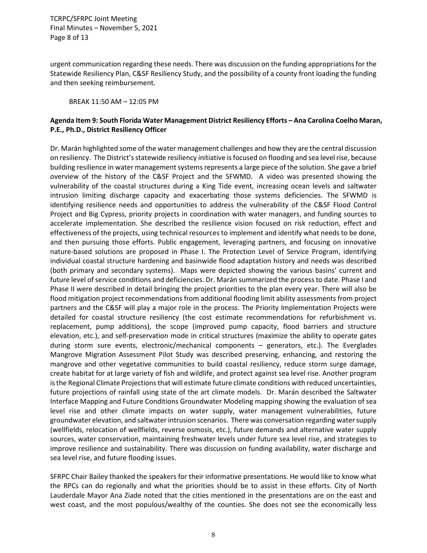TCRPC/SFRPC Joint Meeting Final Minutes – November 5, 2021 Page 8 of 13

urgent communication regarding these needs. There was discussion on the funding appropriations for the Statewide Resiliency Plan, C&SF Resiliency Study, and the possibility of a county front loading the funding and then seeking reimbursement.

BREAK 11:50 AM – 12:05 PM

# **Agenda Item 9: South Florida Water Management District Resiliency Efforts – Ana Carolina Coelho Maran, P.E., Ph.D., District Resiliency Officer**

Dr. Marán highlighted some of the water management challenges and how they are the central discussion on resiliency. The District's statewide resiliency initiative is focused on flooding and sea level rise, because building resilience in water management systems represents a large piece of the solution. She gave a brief overview of the history of the C&SF Project and the SFWMD. A video was presented showing the vulnerability of the coastal structures during a King Tide event, increasing ocean levels and saltwater intrusion limiting discharge capacity and exacerbating those systems deficiencies. The SFWMD is identifying resilience needs and opportunities to address the vulnerability of the C&SF Flood Control Project and Big Cypress, priority projects in coordination with water managers, and funding sources to accelerate implementation. She described the resilience vision focused on risk reduction, effect and effectiveness of the projects, using technical resources to implement and identify what needs to be done, and then pursuing those efforts. Public engagement, leveraging partners, and focusing on innovative nature-based solutions are proposed in Phase I. The Protection Level of Service Program, identifying individual coastal structure hardening and basinwide flood adaptation history and needs was described (both primary and secondary systems). Maps were depicted showing the various basins' current and future level of service conditions and deficiencies. Dr. Marán summarized the process to date. Phase I and Phase II were described in detail bringing the project priorities to the plan every year. There will also be flood mitigation project recommendations from additional flooding limit ability assessments from project partners and the C&SF will play a major role in the process. The Priority Implementation Projects were detailed for coastal structure resiliency (the cost estimate recommendations for refurbishment vs. replacement, pump additions), the scope (improved pump capacity, flood barriers and structure elevation, etc.), and self-preservation mode in critical structures (maximize the ability to operate gates during storm sure events, electronic/mechanical components – generators, etc.). The Everglades Mangrove Migration Assessment Pilot Study was described preserving, enhancing, and restoring the mangrove and other vegetative communities to build coastal resiliency, reduce storm surge damage, create habitat for at large variety of fish and wildlife, and protect against sea level rise. Another program is the Regional Climate Projections that will estimate future climate conditions with reduced uncertainties, future projections of rainfall using state of the art climate models. Dr. Marán described the Saltwater Interface Mapping and Future Conditions Groundwater Modeling mapping showing the evaluation of sea level rise and other climate impacts on water supply, water management vulnerabilities, future groundwater elevation, and saltwater intrusion scenarios. There was conversation regarding water supply (wellfields, relocation of wellfields, reverse osmosis, etc.), future demands and alternative water supply sources, water conservation, maintaining freshwater levels under future sea level rise, and strategies to improve resilience and sustainability. There was discussion on funding availability, water discharge and sea level rise, and future flooding issues.

SFRPC Chair Bailey thanked the speakers for their informative presentations. He would like to know what the RPCs can do regionally and what the priorities should be to assist in these efforts. City of North Lauderdale Mayor Ana Ziade noted that the cities mentioned in the presentations are on the east and west coast, and the most populous/wealthy of the counties. She does not see the economically less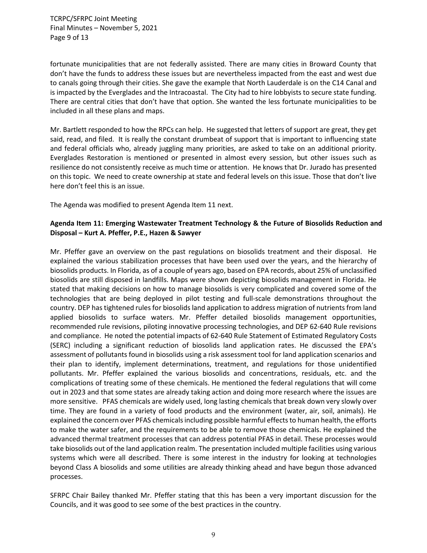TCRPC/SFRPC Joint Meeting Final Minutes – November 5, 2021 Page 9 of 13

fortunate municipalities that are not federally assisted. There are many cities in Broward County that don't have the funds to address these issues but are nevertheless impacted from the east and west due to canals going through their cities. She gave the example that North Lauderdale is on the C14 Canal and is impacted by the Everglades and the Intracoastal. The City had to hire lobbyists to secure state funding. There are central cities that don't have that option. She wanted the less fortunate municipalities to be included in all these plans and maps.

Mr. Bartlett responded to how the RPCs can help. He suggested that letters of support are great, they get said, read, and filed. It is really the constant drumbeat of support that is important to influencing state and federal officials who, already juggling many priorities, are asked to take on an additional priority. Everglades Restoration is mentioned or presented in almost every session, but other issues such as resilience do not consistently receive as much time or attention. He knows that Dr. Jurado has presented on this topic. We need to create ownership at state and federal levels on this issue. Those that don't live here don't feel this is an issue.

The Agenda was modified to present Agenda Item 11 next.

## **Agenda Item 11: Emerging Wastewater Treatment Technology & the Future of Biosolids Reduction and Disposal – Kurt A. Pfeffer, P.E., Hazen & Sawyer**

Mr. Pfeffer gave an overview on the past regulations on biosolids treatment and their disposal. He explained the various stabilization processes that have been used over the years, and the hierarchy of biosolids products. In Florida, as of a couple of years ago, based on EPA records, about 25% of unclassified biosolids are still disposed in landfills. Maps were shown depicting biosolids management in Florida. He stated that making decisions on how to manage biosolids is very complicated and covered some of the technologies that are being deployed in pilot testing and full-scale demonstrations throughout the country. DEP has tightened rules for biosolids land application to address migration of nutrients from land applied biosolids to surface waters. Mr. Pfeffer detailed biosolids management opportunities, recommended rule revisions, piloting innovative processing technologies, and DEP 62-640 Rule revisions and compliance. He noted the potential impacts of 62-640 Rule Statement of Estimated Regulatory Costs (SERC) including a significant reduction of biosolids land application rates. He discussed the EPA's assessment of pollutants found in biosolids using a risk assessment tool for land application scenarios and their plan to identify, implement determinations, treatment, and regulations for those unidentified pollutants. Mr. Pfeffer explained the various biosolids and concentrations, residuals, etc. and the complications of treating some of these chemicals. He mentioned the federal regulations that will come out in 2023 and that some states are already taking action and doing more research where the issues are more sensitive. PFAS chemicals are widely used, long lasting chemicals that break down very slowly over time. They are found in a variety of food products and the environment (water, air, soil, animals). He explained the concern over PFAS chemicals including possible harmful effects to human health, the efforts to make the water safer, and the requirements to be able to remove those chemicals. He explained the advanced thermal treatment processes that can address potential PFAS in detail. These processes would take biosolids out of the land application realm. The presentation included multiple facilities using various systems which were all described. There is some interest in the industry for looking at technologies beyond Class A biosolids and some utilities are already thinking ahead and have begun those advanced processes.

SFRPC Chair Bailey thanked Mr. Pfeffer stating that this has been a very important discussion for the Councils, and it was good to see some of the best practices in the country.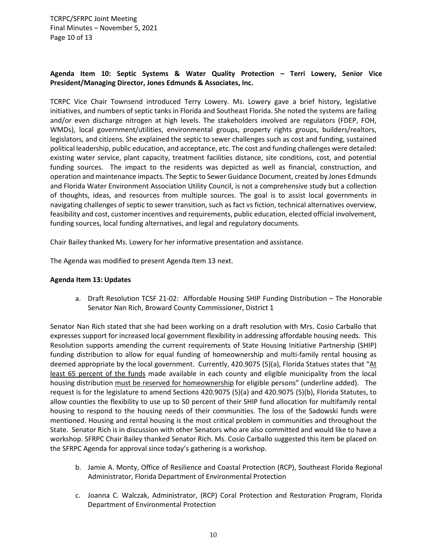TCRPC/SFRPC Joint Meeting Final Minutes – November 5, 2021 Page 10 of 13

# **Agenda Item 10: Septic Systems & Water Quality Protection – Terri Lowery, Senior Vice President/Managing Director, Jones Edmunds & Associates, Inc.**

TCRPC Vice Chair Townsend introduced Terry Lowery. Ms. Lowery gave a brief history, legislative initiatives, and numbers of septic tanks in Florida and Southeast Florida. She noted the systems are failing and/or even discharge nitrogen at high levels. The stakeholders involved are regulators (FDEP, FOH, WMDs), local government/utilities, environmental groups, property rights groups, builders/realtors, legislators, and citizens. She explained the septic to sewer challenges such as cost and funding, sustained political leadership, public education, and acceptance, etc. The cost and funding challenges were detailed: existing water service, plant capacity, treatment facilities distance, site conditions, cost, and potential funding sources. The impact to the residents was depicted as well as financial, construction, and operation and maintenance impacts. The Septic to Sewer Guidance Document, created by Jones Edmunds and Florida Water Environment Association Utility Council, is not a comprehensive study but a collection of thoughts, ideas, and resources from multiple sources. The goal is to assist local governments in navigating challenges of septic to sewer transition, such as fact vs fiction, technical alternatives overview, feasibility and cost, customer incentives and requirements, public education, elected official involvement, funding sources, local funding alternatives, and legal and regulatory documents.

Chair Bailey thanked Ms. Lowery for her informative presentation and assistance.

The Agenda was modified to present Agenda Item 13 next.

#### **Agenda Item 13: Updates**

a. Draft Resolution TCSF 21-02: Affordable Housing SHIP Funding Distribution – The Honorable Senator Nan Rich, Broward County Commissioner, District 1

Senator Nan Rich stated that she had been working on a draft resolution with Mrs. Cosio Carballo that expresses support for increased local government flexibility in addressing affordable housing needs. This Resolution supports amending the current requirements of State Housing Initiative Partnership (SHIP) funding distribution to allow for equal funding of homeownership and multi-family rental housing as deemed appropriate by the local government. Currently, 420.9075 (5)(a), Florida Statues states that " $At$ least 65 percent of the funds made available in each county and eligible municipality from the local housing distribution must be reserved for homeownership for eligible persons" (underline added). The request is for the legislature to amend Sections 420.9075 (5)(a) and 420.9075 (5)(b), Florida Statutes, to allow counties the flexibility to use up to 50 percent of their SHIP fund allocation for multifamily rental housing to respond to the housing needs of their communities. The loss of the Sadowski funds were mentioned. Housing and rental housing is the most critical problem in communities and throughout the State. Senator Rich is in discussion with other Senators who are also committed and would like to have a workshop. SFRPC Chair Bailey thanked Senator Rich. Ms. Cosio Carballo suggested this item be placed on the SFRPC Agenda for approval since today's gathering is a workshop.

- b. Jamie A. Monty, Office of Resilience and Coastal Protection (RCP), Southeast Florida Regional Administrator, Florida Department of Environmental Protection
- c. Joanna C. Walczak, Administrator, (RCP) Coral Protection and Restoration Program, Florida Department of Environmental Protection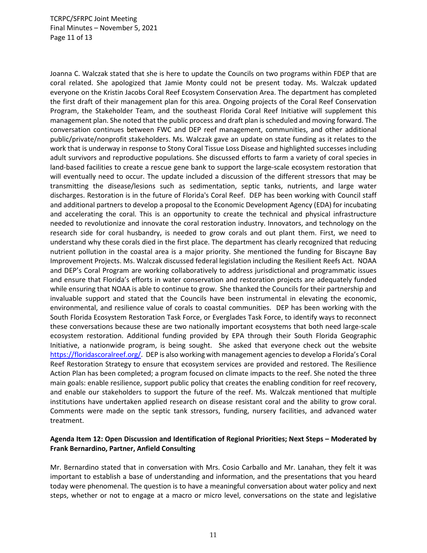Joanna C. Walczak stated that she is here to update the Councils on two programs within FDEP that are coral related. She apologized that Jamie Monty could not be present today. Ms. Walczak updated everyone on the Kristin Jacobs Coral Reef Ecosystem Conservation Area. The department has completed the first draft of their management plan for this area. Ongoing projects of the Coral Reef Conservation Program, the Stakeholder Team, and the southeast Florida Coral Reef Initiative will supplement this management plan. She noted that the public process and draft plan is scheduled and moving forward. The conversation continues between FWC and DEP reef management, communities, and other additional public/private/nonprofit stakeholders. Ms. Walczak gave an update on state funding as it relates to the work that is underway in response to Stony Coral Tissue Loss Disease and highlighted successes including adult survivors and reproductive populations. She discussed efforts to farm a variety of coral species in land-based facilities to create a rescue gene bank to support the large-scale ecosystem restoration that will eventually need to occur. The update included a discussion of the different stressors that may be transmitting the disease/lesions such as sedimentation, septic tanks, nutrients, and large water discharges. Restoration is in the future of Florida's Coral Reef. DEP has been working with Council staff and additional partners to develop a proposal to the Economic Development Agency (EDA) for incubating and accelerating the coral. This is an opportunity to create the technical and physical infrastructure needed to revolutionize and innovate the coral restoration industry. Innovators, and technology on the research side for coral husbandry, is needed to grow corals and out plant them. First, we need to understand why these corals died in the first place. The department has clearly recognized that reducing nutrient pollution in the coastal area is a major priority. She mentioned the funding for Biscayne Bay Improvement Projects. Ms. Walczak discussed federal legislation including the Resilient Reefs Act. NOAA and DEP's Coral Program are working collaboratively to address jurisdictional and programmatic issues and ensure that Florida's efforts in water conservation and restoration projects are adequately funded while ensuring that NOAA is able to continue to grow. She thanked the Councils for their partnership and invaluable support and stated that the Councils have been instrumental in elevating the economic, environmental, and resilience value of corals to coastal communities. DEP has been working with the South Florida Ecosystem Restoration Task Force, or Everglades Task Force, to identify ways to reconnect these conversations because these are two nationally important ecosystems that both need large-scale ecosystem restoration. Additional funding provided by EPA through their South Florida Geographic Initiative, a nationwide program, is being sought. She asked that everyone check out the website [https://floridascoralreef.org/.](https://floridascoralreef.org/) DEP is also working with management agencies to develop a Florida's Coral Reef Restoration Strategy to ensure that ecosystem services are provided and restored. The Resilience Action Plan has been completed; a program focused on climate impacts to the reef. She noted the three main goals: enable resilience, support public policy that creates the enabling condition for reef recovery, and enable our stakeholders to support the future of the reef. Ms. Walczak mentioned that multiple institutions have undertaken applied research on disease resistant coral and the ability to grow coral. Comments were made on the septic tank stressors, funding, nursery facilities, and advanced water treatment.

# **Agenda Item 12: Open Discussion and Identification of Regional Priorities; Next Steps – Moderated by Frank Bernardino, Partner, Anfield Consulting**

Mr. Bernardino stated that in conversation with Mrs. Cosio Carballo and Mr. Lanahan, they felt it was important to establish a base of understanding and information, and the presentations that you heard today were phenomenal. The question is to have a meaningful conversation about water policy and next steps, whether or not to engage at a macro or micro level, conversations on the state and legislative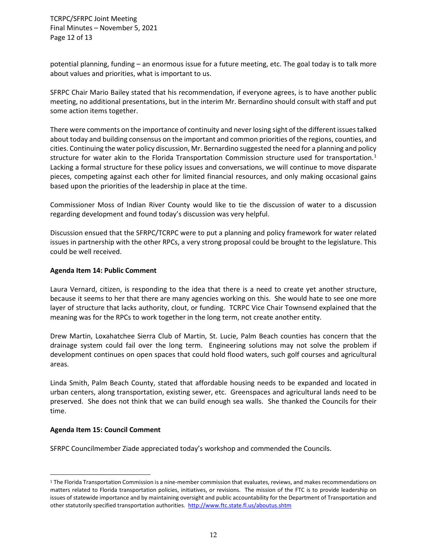TCRPC/SFRPC Joint Meeting Final Minutes – November 5, 2021 Page 12 of 13

potential planning, funding – an enormous issue for a future meeting, etc. The goal today is to talk more about values and priorities, what is important to us.

SFRPC Chair Mario Bailey stated that his recommendation, if everyone agrees, is to have another public meeting, no additional presentations, but in the interim Mr. Bernardino should consult with staff and put some action items together.

There were comments on the importance of continuity and never losing sight of the different issues talked about today and building consensus on the important and common priorities of the regions, counties, and cities. Continuing the water policy discussion, Mr. Bernardino suggested the need for a planning and policy structure for water akin to the Florida Transportation Commission structure used for transportation.<sup>[1](#page-11-0)</sup> Lacking a formal structure for these policy issues and conversations, we will continue to move disparate pieces, competing against each other for limited financial resources, and only making occasional gains based upon the priorities of the leadership in place at the time.

Commissioner Moss of Indian River County would like to tie the discussion of water to a discussion regarding development and found today's discussion was very helpful.

Discussion ensued that the SFRPC/TCRPC were to put a planning and policy framework for water related issues in partnership with the other RPCs, a very strong proposal could be brought to the legislature. This could be well received.

#### **Agenda Item 14: Public Comment**

Laura Vernard, citizen, is responding to the idea that there is a need to create yet another structure, because it seems to her that there are many agencies working on this. She would hate to see one more layer of structure that lacks authority, clout, or funding. TCRPC Vice Chair Townsend explained that the meaning was for the RPCs to work together in the long term, not create another entity.

Drew Martin, Loxahatchee Sierra Club of Martin, St. Lucie, Palm Beach counties has concern that the drainage system could fail over the long term. Engineering solutions may not solve the problem if development continues on open spaces that could hold flood waters, such golf courses and agricultural areas.

Linda Smith, Palm Beach County, stated that affordable housing needs to be expanded and located in urban centers, along transportation, existing sewer, etc. Greenspaces and agricultural lands need to be preserved. She does not think that we can build enough sea walls. She thanked the Councils for their time.

#### **Agenda Item 15: Council Comment**

SFRPC Councilmember Ziade appreciated today's workshop and commended the Councils.

<span id="page-11-0"></span> $1$  The Florida Transportation Commission is a nine-member commission that evaluates, reviews, and makes recommendations on matters related to Florida transportation policies, initiatives, or revisions. The mission of the FTC is to provide leadership on issues of statewide importance and by maintaining oversight and public accountability for the Department of Transportation and other statutorily specified transportation authorities. <http://www.ftc.state.fl.us/aboutus.shtm>